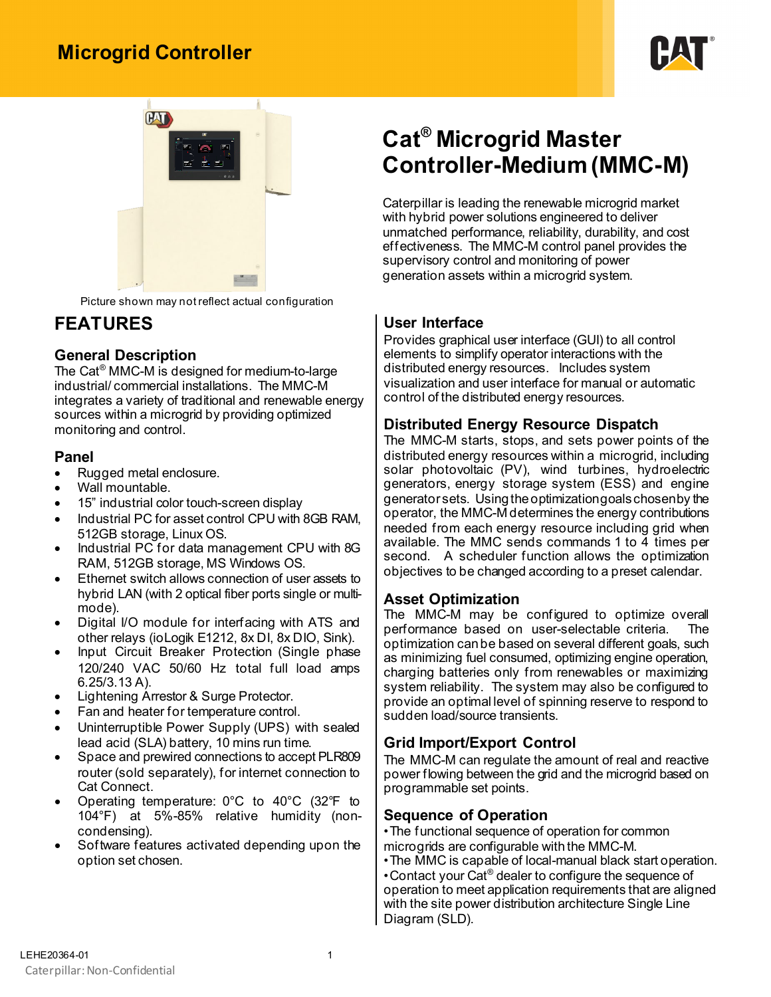## **Microgrid Controller**





Picture shown may not reflect actual configuration

### **FEATURES**

#### **General Description**

The Cat® MMC-M is designed for medium-to-large industrial/ commercial installations. The MMC-M integrates a variety of traditional and renewable energy sources within a microgrid by providing optimized monitoring and control.

#### **Panel**

- Rugged metal enclosure.
- Wall mountable.
- 15" industrial color touch-screen display
- Industrial PC for asset control CPU with 8GB RAM, 512GB storage, Linux OS.
- Industrial PC for data management CPU with 8G RAM, 512GB storage, MS Windows OS.
- Ethernet switch allows connection of user assets to hybrid LAN (with 2 optical fiber ports single or multimode).
- Digital I/O module for interfacing with ATS and other relays (ioLogik E1212, 8x DI, 8x DIO, Sink).
- Input Circuit Breaker Protection (Single phase 120/240 VAC 50/60 Hz total full load amps 6.25/3.13 A).
- Lightening Arrestor & Surge Protector.
- Fan and heater for temperature control.
- Uninterruptible Power Supply (UPS) with sealed lead acid (SLA) battery, 10 mins run time.
- Space and prewired connections to accept PLR809 router (sold separately), for internet connection to Cat Connect.
- Operating temperature: 0°C to 40°C (32°F to 104°F) at 5%-85% relative humidity (noncondensing).
- Software features activated depending upon the option set chosen.

# **Cat® Microgrid Master Controller-Medium (MMC-M)**

Caterpillar is leading the renewable microgrid market with hybrid power solutions engineered to deliver unmatched performance, reliability, durability, and cost effectiveness. The MMC-M control panel provides the supervisory control and monitoring of power generation assets within a microgrid system.

#### **User Interface**

Provides graphical user interface (GUI) to all control elements to simplify operator interactions with the distributed energy resources. Includes system visualization and user interface for manual or automatic control of the distributed energy resources.

#### **Distributed Energy Resource Dispatch**

The MMC-M starts, stops, and sets power points of the distributed energy resources within a microgrid, including solar photovoltaic (PV), wind turbines, hydroelectric generators, energy storage system (ESS) and engine generator sets. Using the optimization goalschosen by the operator, the MMC-M determines the energy contributions needed from each energy resource including grid when available. The MMC sends commands 1 to 4 times per second. A scheduler function allows the optimization objectives to be changed according to a preset calendar.

#### **Asset Optimization**

The MMC-M may be configured to optimize overall performance based on user-selectable criteria. The optimization can be based on several different goals, such as minimizing fuel consumed, optimizing engine operation, charging batteries only from renewables or maximizing system reliability. The system may also be configured to provide an optimal level of spinning reserve to respond to sudden load/source transients.

#### **Grid Import/Export Control**

The MMC-M can regulate the amount of real and reactive power flowing between the grid and the microgrid based on programmable set points.

#### **Sequence of Operation**

•The functional sequence of operation for common microgrids are configurable with the MMC-M.

•The MMC is capable of local-manual black start operation. •Contact your Cat® dealer to configure the sequence of operation to meet application requirements that are aligned with the site power distribution architecture Single Line Diagram (SLD).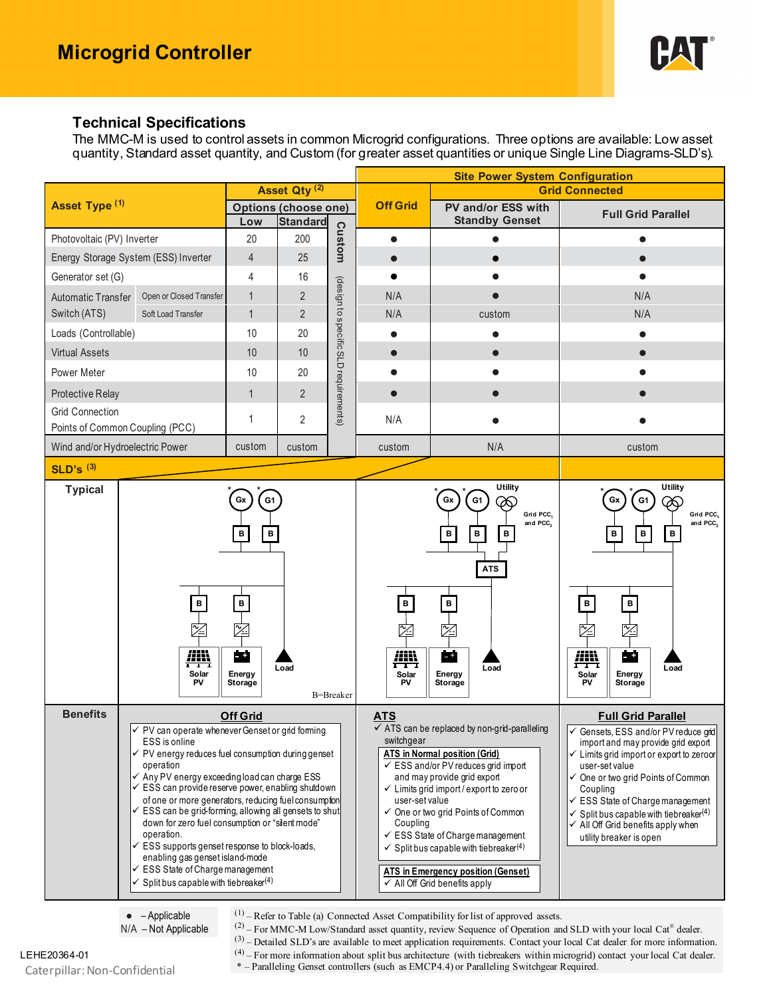

#### **Technical Specifications**

The MMC-M is used to control assets in common Microgrid configurations. Three options are available: Low asset quantity, Standard asset quantity, and Custom (for greater asset quantities or unique Single Line Diagrams-SLD's).

|                                      |                                                                                                                                                                                                                                                                                                                                                                                                                                                                                                                                                                                                                                                                                                    |                                                                      |                | <b>Site Power System Configuration</b> |                                                        |                                                                                                                                                                                                                                                                                                                                                                                                                                                                                          |                                                                                                                                                                                                                                                                                                                                                                                             |
|--------------------------------------|----------------------------------------------------------------------------------------------------------------------------------------------------------------------------------------------------------------------------------------------------------------------------------------------------------------------------------------------------------------------------------------------------------------------------------------------------------------------------------------------------------------------------------------------------------------------------------------------------------------------------------------------------------------------------------------------------|----------------------------------------------------------------------|----------------|----------------------------------------|--------------------------------------------------------|------------------------------------------------------------------------------------------------------------------------------------------------------------------------------------------------------------------------------------------------------------------------------------------------------------------------------------------------------------------------------------------------------------------------------------------------------------------------------------------|---------------------------------------------------------------------------------------------------------------------------------------------------------------------------------------------------------------------------------------------------------------------------------------------------------------------------------------------------------------------------------------------|
| Asset Type (1)                       |                                                                                                                                                                                                                                                                                                                                                                                                                                                                                                                                                                                                                                                                                                    | Asset Qty <sup>(2)</sup>                                             |                | <b>Off Grid</b>                        | <b>Grid Connected</b>                                  |                                                                                                                                                                                                                                                                                                                                                                                                                                                                                          |                                                                                                                                                                                                                                                                                                                                                                                             |
|                                      |                                                                                                                                                                                                                                                                                                                                                                                                                                                                                                                                                                                                                                                                                                    | <b>Options (choose one)</b><br><b>Standard</b><br>Low                |                |                                        | PV and/or ESS with<br><b>Standby Genset</b>            | <b>Full Grid Parallel</b>                                                                                                                                                                                                                                                                                                                                                                                                                                                                |                                                                                                                                                                                                                                                                                                                                                                                             |
| Photovoltaic (PV) Inverter           |                                                                                                                                                                                                                                                                                                                                                                                                                                                                                                                                                                                                                                                                                                    | 20                                                                   | 200            |                                        | $\bullet$                                              |                                                                                                                                                                                                                                                                                                                                                                                                                                                                                          |                                                                                                                                                                                                                                                                                                                                                                                             |
| Energy Storage System (ESS) Inverter |                                                                                                                                                                                                                                                                                                                                                                                                                                                                                                                                                                                                                                                                                                    | $\overline{4}$                                                       | 25             | Custom                                 | $\bullet$                                              |                                                                                                                                                                                                                                                                                                                                                                                                                                                                                          |                                                                                                                                                                                                                                                                                                                                                                                             |
| Generator set (G)                    |                                                                                                                                                                                                                                                                                                                                                                                                                                                                                                                                                                                                                                                                                                    | 4                                                                    | 16             |                                        |                                                        |                                                                                                                                                                                                                                                                                                                                                                                                                                                                                          |                                                                                                                                                                                                                                                                                                                                                                                             |
| <b>Automatic Transfer</b>            | Open or Closed Transfer                                                                                                                                                                                                                                                                                                                                                                                                                                                                                                                                                                                                                                                                            | 1                                                                    | $\overline{2}$ | (design to specific SLD requirements)  | N/A                                                    |                                                                                                                                                                                                                                                                                                                                                                                                                                                                                          | N/A                                                                                                                                                                                                                                                                                                                                                                                         |
| Switch (ATS)<br>Soft Load Transfer   |                                                                                                                                                                                                                                                                                                                                                                                                                                                                                                                                                                                                                                                                                                    | $\mathbf{1}$                                                         | $\overline{2}$ |                                        | N/A                                                    | custom                                                                                                                                                                                                                                                                                                                                                                                                                                                                                   | N/A                                                                                                                                                                                                                                                                                                                                                                                         |
| Loads (Controllable)                 |                                                                                                                                                                                                                                                                                                                                                                                                                                                                                                                                                                                                                                                                                                    | 10                                                                   | 20             |                                        | $\bullet$                                              |                                                                                                                                                                                                                                                                                                                                                                                                                                                                                          |                                                                                                                                                                                                                                                                                                                                                                                             |
| <b>Virtual Assets</b>                |                                                                                                                                                                                                                                                                                                                                                                                                                                                                                                                                                                                                                                                                                                    | 10                                                                   | 10             |                                        |                                                        |                                                                                                                                                                                                                                                                                                                                                                                                                                                                                          |                                                                                                                                                                                                                                                                                                                                                                                             |
| Power Meter                          |                                                                                                                                                                                                                                                                                                                                                                                                                                                                                                                                                                                                                                                                                                    | 10                                                                   | 20             |                                        |                                                        |                                                                                                                                                                                                                                                                                                                                                                                                                                                                                          |                                                                                                                                                                                                                                                                                                                                                                                             |
| Protective Relay                     |                                                                                                                                                                                                                                                                                                                                                                                                                                                                                                                                                                                                                                                                                                    | 1                                                                    | $\overline{2}$ |                                        | ●                                                      |                                                                                                                                                                                                                                                                                                                                                                                                                                                                                          |                                                                                                                                                                                                                                                                                                                                                                                             |
| <b>Grid Connection</b>               |                                                                                                                                                                                                                                                                                                                                                                                                                                                                                                                                                                                                                                                                                                    | 1                                                                    | $\overline{2}$ |                                        | N/A                                                    |                                                                                                                                                                                                                                                                                                                                                                                                                                                                                          |                                                                                                                                                                                                                                                                                                                                                                                             |
| Points of Common Coupling (PCC)      |                                                                                                                                                                                                                                                                                                                                                                                                                                                                                                                                                                                                                                                                                                    |                                                                      |                |                                        |                                                        |                                                                                                                                                                                                                                                                                                                                                                                                                                                                                          |                                                                                                                                                                                                                                                                                                                                                                                             |
| Wind and/or Hydroelectric Power      |                                                                                                                                                                                                                                                                                                                                                                                                                                                                                                                                                                                                                                                                                                    | custom                                                               | custom         |                                        | custom                                                 | N/A                                                                                                                                                                                                                                                                                                                                                                                                                                                                                      | custom                                                                                                                                                                                                                                                                                                                                                                                      |
| <b>SLD's (3)</b>                     |                                                                                                                                                                                                                                                                                                                                                                                                                                                                                                                                                                                                                                                                                                    |                                                                      |                |                                        |                                                        |                                                                                                                                                                                                                                                                                                                                                                                                                                                                                          |                                                                                                                                                                                                                                                                                                                                                                                             |
|                                      | B<br>⊠<br><u> AIN</u><br>I I I<br>Solar<br>PV                                                                                                                                                                                                                                                                                                                                                                                                                                                                                                                                                                                                                                                      | Gx<br>G1<br>в<br>в<br>$\, {\bf B} \,$<br>涳<br>œ<br>Energy<br>Storage | Load           | B=Breaker                              | $\, {\bf B} \,$<br>之<br>興<br>Solar<br>PV               | Gx<br>G <sub>1</sub><br>∞<br>Grid PCC,<br>and PCC <sub>2</sub><br>в<br>в<br>в<br><b>ATS</b><br>$\, {\bf B} \,$<br>之<br>فنا<br>Load<br>Energy<br>Storage                                                                                                                                                                                                                                                                                                                                  | Gx<br>G <sub>1</sub><br>∞<br>Grid PCC,<br>and PCC <sub>2</sub><br>в<br>в<br>в<br>$\overline{\mathbf{B}}$<br>$\overline{B}$<br>区<br>ヅ<br><u>jin</u><br>æ<br>Load<br>Energy<br>Solar<br>PV<br>Storage                                                                                                                                                                                         |
| <b>Benefits</b>                      | <b>Off Grid</b><br>√ PV can operate whenever Genset or grid forming<br>ESS is online<br>$\checkmark$ PV energy reduces fuel consumption during genset<br>operation<br>$\checkmark$ Any PV energy exceeding load can charge ESS<br>$\checkmark$ ESS can provide reserve power, enabling shutdown<br>of one or more generators, reducing fuel consumption<br>$\checkmark$ ESS can be grid-forming, allowing all gensets to shut<br>down for zero fuel consumption or "silent mode"<br>operation.<br>$\checkmark$ ESS supports genset response to block-loads,<br>enabling gas genset island-mode<br>$\checkmark$ ESS State of Charge management<br>$\checkmark$ Split bus capable with tiebreaker(4) |                                                                      |                |                                        | <u>ATS</u><br>switchgear<br>user-set value<br>Coupling | $\sqrt{\text{ATS}}$ can be replaced by non-grid-paralleling<br><b>ATS</b> in Normal position (Grid)<br>$\checkmark$ ESS and/or PV reduces grid import<br>and may provide grid export<br>$\checkmark$ Limits grid import/export to zero or<br>✓ One or two grid Points of Common<br>$\checkmark$ ESS State of Charge management<br>$\checkmark$ Split bus capable with tiebreaker <sup>(4)</sup><br><b>ATS in Emergency position (Genset)</b><br>$\checkmark$ All Off Grid benefits apply | <b>Full Grid Parallel</b><br>√ Gensets, ESS and/or PV reduce grid<br>import and may provide grid export<br>$\checkmark$ Limits grid import or export to zeroor<br>user-set value<br>One or two grid Points of Common<br>Coupling<br>← ESS State of Charge management<br>Split bus capable with tiebreaker $(4)$<br>$\checkmark$ All Off Grid benefits apply when<br>utility breaker is open |

 $(1)$  – Refer to Table (a) Connected Asset Compatibility for list of approved assets.

 $\bullet$  – Applicable N/A – Not Applicable

(2) – For MMC-M Low/Standard asset quantity, review Sequence of Operation and SLD with your local Cat® dealer.

 $(3)$  – Detailed SLD's are available to meet application requirements. Contact your local Cat dealer for more information.

LEHE20364-01 <sup>(4)</sup> – For more information about split bus architecture (with tiebreakers within microgrid) contact your local Cat dealer. \* – Paralleling Genset controllers (such as EMCP4.4) or Paralleling Switchgear Required.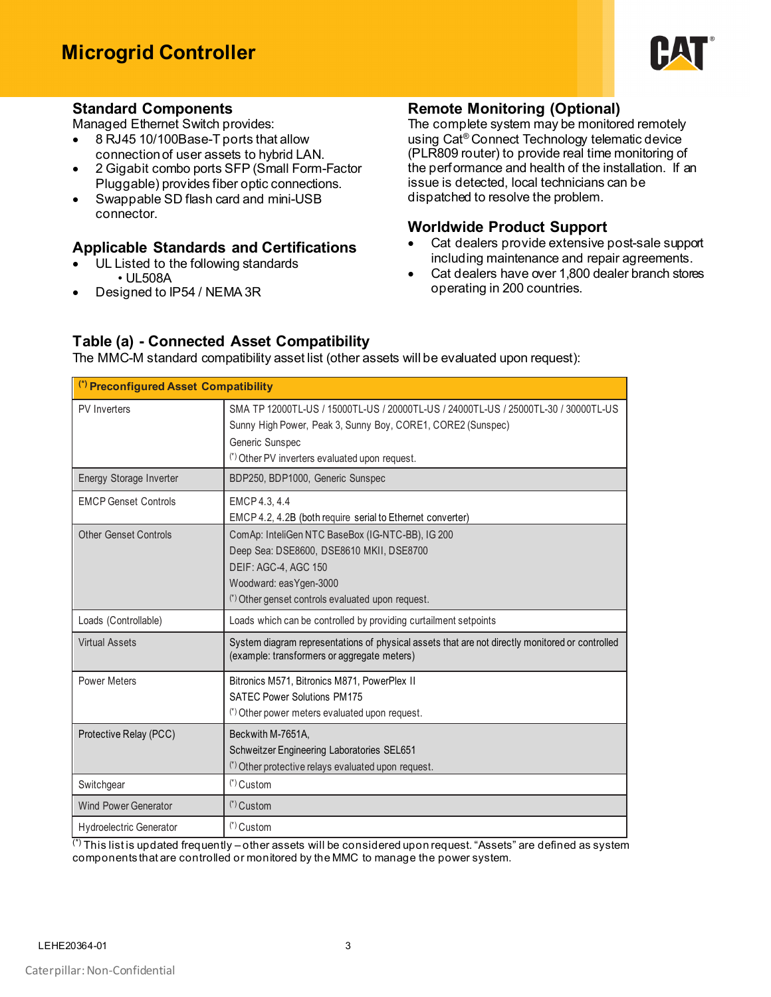

#### **Standard Components**

Managed Ethernet Switch provides:

- 8 RJ45 10/100Base-T ports that allow
- connection of user assets to hybrid LAN. • 2 Gigabit combo ports SFP (Small Form-Factor
- Pluggable) provides fiber optic connections. Swappable SD flash card and mini-USB connector.

#### **Applicable Standards and Certifications**

- UL Listed to the following standards • UL508A
- Designed to IP54 / NEMA 3R

#### **Remote Monitoring (Optional)**

The complete system may be monitored remotely using Cat® Connect Technology telematic device (PLR809 router) to provide real time monitoring of the performance and health of the installation. If an issue is detected, local technicians can be dispatched to resolve the problem.

#### **Worldwide Product Support**

- Cat dealers provide extensive post-sale support including maintenance and repair agreements.
- Cat dealers have over 1,800 dealer branch stores operating in 200 countries.

#### **Table (a) - Connected Asset Compatibility**

The MMC-M standard compatibility asset list (other assets will be evaluated upon request):

| (*) Preconfigured Asset Compatibility |                                                                                                                                                                                                                        |  |  |  |  |
|---------------------------------------|------------------------------------------------------------------------------------------------------------------------------------------------------------------------------------------------------------------------|--|--|--|--|
| PV Inverters                          | SMA TP 12000TL-US / 15000TL-US / 20000TL-US / 24000TL-US / 25000TL-30 / 30000TL-US<br>Sunny High Power, Peak 3, Sunny Boy, CORE1, CORE2 (Sunspec)<br>Generic Sunspec<br>(*) Other PV inverters evaluated upon request. |  |  |  |  |
| Energy Storage Inverter               | BDP250, BDP1000, Generic Sunspec                                                                                                                                                                                       |  |  |  |  |
| <b>EMCP Genset Controls</b>           | EMCP 4.3, 4.4<br>EMCP 4.2, 4.2B (both require serial to Ethernet converter)                                                                                                                                            |  |  |  |  |
| <b>Other Genset Controls</b>          | ComAp: InteliGen NTC BaseBox (IG-NTC-BB), IG 200<br>Deep Sea: DSE8600, DSE8610 MKII, DSE8700<br>DEIF: AGC-4, AGC 150<br>Woodward: easYgen-3000<br>(*) Other genset controls evaluated upon request.                    |  |  |  |  |
| Loads (Controllable)                  | Loads which can be controlled by providing curtailment setpoints                                                                                                                                                       |  |  |  |  |
| <b>Virtual Assets</b>                 | System diagram representations of physical assets that are not directly monitored or controlled<br>(example: transformers or aggregate meters)                                                                         |  |  |  |  |
| <b>Power Meters</b>                   | Bitronics M571, Bitronics M871, PowerPlex II<br><b>SATEC Power Solutions PM175</b><br>(*) Other power meters evaluated upon request.                                                                                   |  |  |  |  |
| Protective Relay (PCC)                | Beckwith M-7651A.<br>Schweitzer Engineering Laboratories SEL651<br>(*) Other protective relays evaluated upon request.                                                                                                 |  |  |  |  |
| Switchgear                            | $(*)$ Custom                                                                                                                                                                                                           |  |  |  |  |
| <b>Wind Power Generator</b>           | (*) Custom                                                                                                                                                                                                             |  |  |  |  |
| <b>Hydroelectric Generator</b>        | $(*)$ Custom                                                                                                                                                                                                           |  |  |  |  |

 $\overline{'}$  This list is updated frequently – other assets will be considered upon request. "Assets" are defined as system components that are controlled or monitored by the MMC to manage the power system.